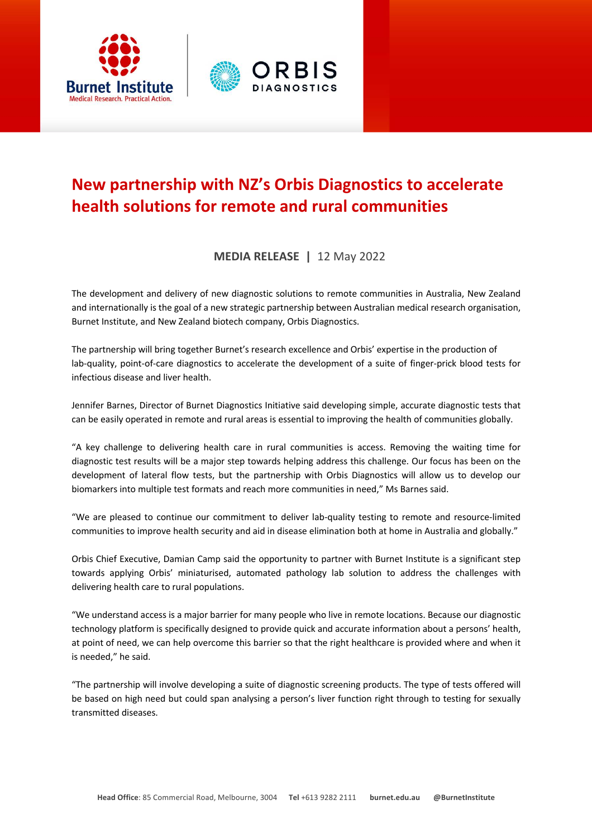

## **New partnership with NZ's Orbis Diagnostics to accelerate health solutions for remote and rural communities**

## **MEDIA RELEASE |** 12 May 2022

The development and delivery of new diagnostic solutions to remote communities in Australia, New Zealand and internationally is the goal of a new strategic partnership between Australian medical research organisation, Burnet Institute, and New Zealand biotech company, Orbis Diagnostics.

The partnership will bring together Burnet's research excellence and Orbis' expertise in the production of lab-quality, point-of-care diagnostics to accelerate the development of a suite of finger-prick blood tests for infectious disease and liver health.

Jennifer Barnes, Director of Burnet Diagnostics Initiative said developing simple, accurate diagnostic tests that can be easily operated in remote and rural areas is essential to improving the health of communities globally.

"A key challenge to delivering health care in rural communities is access. Removing the waiting time for diagnostic test results will be a major step towards helping address this challenge. Our focus has been on the development of lateral flow tests, but the partnership with Orbis Diagnostics will allow us to develop our biomarkers into multiple test formats and reach more communities in need," Ms Barnes said.

"We are pleased to continue our commitment to deliver lab-quality testing to remote and resource-limited communities to improve health security and aid in disease elimination both at home in Australia and globally."

Orbis Chief Executive, Damian Camp said the opportunity to partner with Burnet Institute is a significant step towards applying Orbis' miniaturised, automated pathology lab solution to address the challenges with delivering health care to rural populations.

"We understand access is a major barrier for many people who live in remote locations. Because our diagnostic technology platform is specifically designed to provide quick and accurate information about a persons' health, at point of need, we can help overcome this barrier so that the right healthcare is provided where and when it is needed," he said.

"The partnership will involve developing a suite of diagnostic screening products. The type of tests offered will be based on high need but could span analysing a person's liver function right through to testing for sexually transmitted diseases.